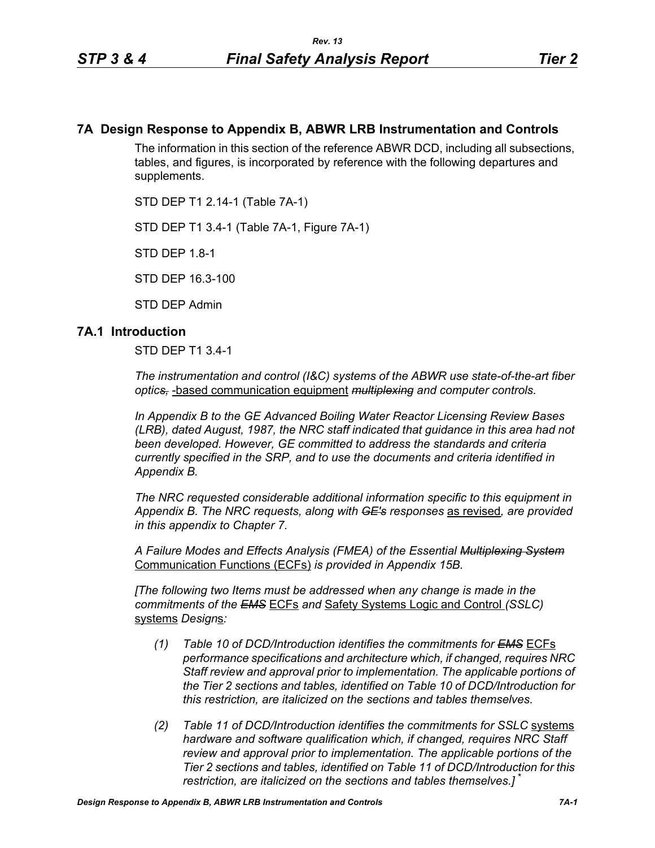## **7A Design Response to Appendix B, ABWR LRB Instrumentation and Controls**

The information in this section of the reference ABWR DCD, including all subsections, tables, and figures, is incorporated by reference with the following departures and supplements.

STD DEP T1 2.14-1 (Table 7A-1)

STD DEP T1 3.4-1 (Table 7A-1, Figure 7A-1)

STD DEP 1.8-1

STD DEP 16.3-100

STD DEP Admin

#### **7A.1 Introduction**

STD DEP T1 3.4-1

*The instrumentation and control (I&C) systems of the ABWR use state-of-the-art fiber optics,* -based communication equipment *multiplexing and computer controls.* 

*In Appendix B to the GE Advanced Boiling Water Reactor Licensing Review Bases (LRB), dated August, 1987, the NRC staff indicated that guidance in this area had not been developed. However, GE committed to address the standards and criteria currently specified in the SRP, and to use the documents and criteria identified in Appendix B.*

*The NRC requested considerable additional information specific to this equipment in Appendix B. The NRC requests, along with GE's responses* as revised*, are provided in this appendix to Chapter 7.*

*A Failure Modes and Effects Analysis (FMEA) of the Essential Multiplexing System* Communication Functions (ECFs) *is provided in Appendix 15B.*

*[The following two Items must be addressed when any change is made in the commitments of the EMS* ECFs *and* Safety Systems Logic and Control *(SSLC)* systems *Design*s*:*

- *(1) Table 10 of DCD/Introduction identifies the commitments for EMS* ECFs *performance specifications and architecture which, if changed, requires NRC Staff review and approval prior to implementation. The applicable portions of the Tier 2 sections and tables, identified on Table 10 of DCD/Introduction for this restriction, are italicized on the sections and tables themselves.*
- *(2) Table 11 of DCD/Introduction identifies the commitments for SSLC* systems *hardware and software qualification which, if changed, requires NRC Staff review and approval prior to implementation. The applicable portions of the Tier 2 sections and tables, identified on Table 11 of DCD/Introduction for this restriction, are italicized on the sections and tables themselves.]* \*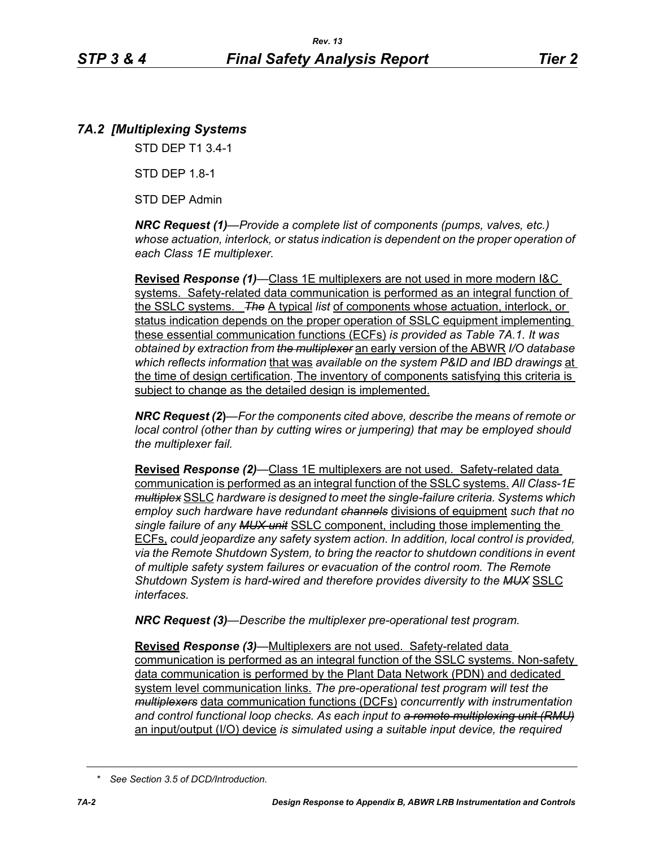# *7A.2 [Multiplexing Systems*

STD DEP T1 3.4-1

STD DEP 1.8-1

STD DEP Admin

*NRC Request (1)—Provide a complete list of components (pumps, valves, etc.) whose actuation, interlock, or status indication is dependent on the proper operation of each Class 1E multiplexer.*

**Revised** *Response (1)—*Class 1E multiplexers are not used in more modern I&C systems. Safety-related data communication is performed as an integral function of the SSLC systems. *The* A typical *list* of components whose actuation, interlock, or status indication depends on the proper operation of SSLC equipment implementing these essential communication functions (ECFs) *is provided as Table 7A.1. It was obtained by extraction from the multiplexer* an early version of the ABWR *I/O database which reflects information* that was *available on the system P&ID and IBD drawings* at the time of design certification*.* The inventory of components satisfying this criteria is subject to change as the detailed design is implemented.

*NRC Request (2***)***—For the components cited above, describe the means of remote or local control (other than by cutting wires or jumpering) that may be employed should the multiplexer fail.*

**Revised** *Response (2)—*Class 1E multiplexers are not used. Safety-related data communication is performed as an integral function of the SSLC systems. *All Class-1E multiplex* SSLC *hardware is designed to meet the single-failure criteria. Systems which employ such hardware have redundant channels* divisions of equipment *such that no single failure of any MUX unit* SSLC component, including those implementing the ECFs, *could jeopardize any safety system action. In addition, local control is provided, via the Remote Shutdown System, to bring the reactor to shutdown conditions in event of multiple safety system failures or evacuation of the control room. The Remote Shutdown System is hard-wired and therefore provides diversity to the MUX* SSLC *interfaces.*

*NRC Request (3)—Describe the multiplexer pre-operational test program.*

**Revised** *Response (3)—*Multiplexers are not used. Safety-related data communication is performed as an integral function of the SSLC systems. Non-safety data communication is performed by the Plant Data Network (PDN) and dedicated system level communication links. *The pre-operational test program will test the multiplexers* data communication functions (DCFs) *concurrently with instrumentation and control functional loop checks. As each input to a remote multiplexing unit (RMU)* an input/output (I/O) device *is simulated using a suitable input device, the required* 

*<sup>\*</sup> See Section 3.5 of DCD/Introduction.*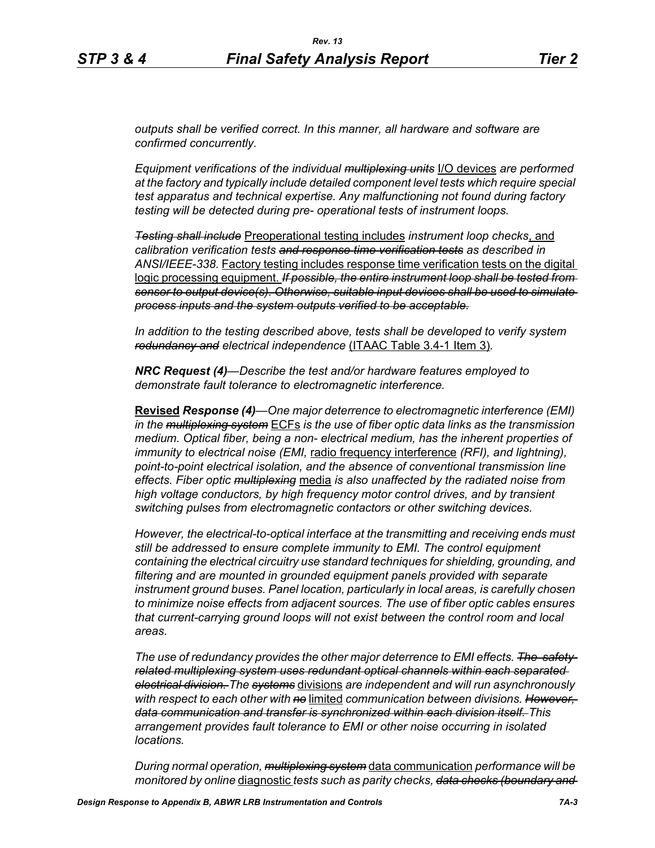*outputs shall be verified correct. In this manner, all hardware and software are confirmed concurrently.*

*Equipment verifications of the individual multiplexing units* I/O devices *are performed at the factory and typically include detailed component level tests which require special test apparatus and technical expertise. Any malfunctioning not found during factory testing will be detected during pre- operational tests of instrument loops.*

*Testing shall include* Preoperational testing includes *instrument loop checks*, and *calibration verification tests and response time verification tests as described in ANSI/IEEE-338.* Factory testing includes response time verification tests on the digital logic processing equipment. *If possible, the entire instrument loop shall be tested from sensor to output device(s). Otherwise, suitable input devices shall be used to simulate process inputs and the system outputs verified to be acceptable.*

*In addition to the testing described above, tests shall be developed to verify system redundancy and electrical independence* (ITAAC Table 3.4-1 Item 3)*.*

*NRC Request (4)—Describe the test and/or hardware features employed to demonstrate fault tolerance to electromagnetic interference.*

**Revised** *Response (4)—One major deterrence to electromagnetic interference (EMI) in the multiplexing system* ECFs *is the use of fiber optic data links as the transmission medium. Optical fiber, being a non- electrical medium, has the inherent properties of immunity to electrical noise (EMI,* radio frequency interference *(RFI), and lightning), point-to-point electrical isolation, and the absence of conventional transmission line effects. Fiber optic multiplexing* media *is also unaffected by the radiated noise from high voltage conductors, by high frequency motor control drives, and by transient switching pulses from electromagnetic contactors or other switching devices.* 

*However, the electrical-to-optical interface at the transmitting and receiving ends must still be addressed to ensure complete immunity to EMI. The control equipment containing the electrical circuitry use standard techniques for shielding, grounding, and filtering and are mounted in grounded equipment panels provided with separate instrument ground buses. Panel location, particularly in local areas, is carefully chosen to minimize noise effects from adjacent sources. The use of fiber optic cables ensures that current-carrying ground loops will not exist between the control room and local areas.* 

*The use of redundancy provides the other major deterrence to EMI effects. The safetyrelated multiplexing system uses redundant optical channels within each separated electrical division. The systems* divisions *are independent and will run asynchronously with respect to each other with no* limited *communication between divisions. However, data communication and transfer is synchronized within each division itself. This arrangement provides fault tolerance to EMI or other noise occurring in isolated locations.* 

*During normal operation, multiplexing system* data communication *performance will be monitored by online* diagnostic *tests such as parity checks, data checks (boundary and*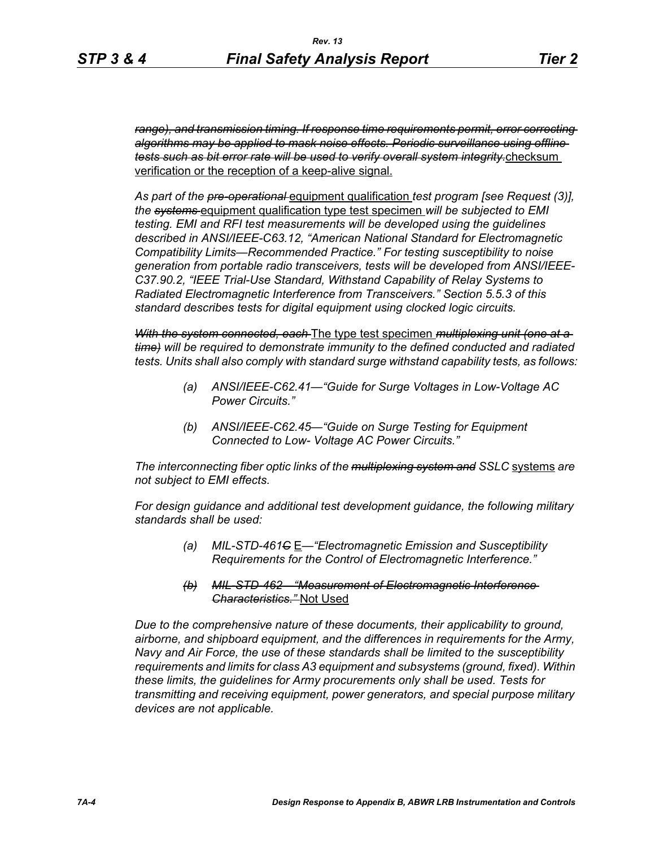*range), and transmission timing. If response time requirements permit, error correcting algorithms may be applied to mask noise effects. Periodic surveillance using offline tests such as bit error rate will be used to verify overall system integrity.*checksum verification or the reception of a keep-alive signal.

*As part of the pre-operational* equipment qualification *test program [see Request (3)], the systems* equipment qualification type test specimen *will be subjected to EMI testing. EMI and RFI test measurements will be developed using the guidelines described in ANSI/IEEE-C63.12, "American National Standard for Electromagnetic Compatibility Limits—Recommended Practice." For testing susceptibility to noise generation from portable radio transceivers, tests will be developed from ANSI/IEEE-C37.90.2, "IEEE Trial-Use Standard, Withstand Capability of Relay Systems to Radiated Electromagnetic Interference from Transceivers." Section 5.5.3 of this standard describes tests for digital equipment using clocked logic circuits.*

*With the system connected, each* The type test specimen *multiplexing unit (one at a time) will be required to demonstrate immunity to the defined conducted and radiated tests. Units shall also comply with standard surge withstand capability tests, as follows:*

- *(a) ANSI/IEEE-C62.41—"Guide for Surge Voltages in Low-Voltage AC Power Circuits."*
- *(b) ANSI/IEEE-C62.45—"Guide on Surge Testing for Equipment Connected to Low- Voltage AC Power Circuits."*

*The interconnecting fiber optic links of the multiplexing system and SSLC* systems *are not subject to EMI effects.*

*For design guidance and additional test development guidance, the following military standards shall be used:*

- *(a) MIL-STD-461C* E*—"Electromagnetic Emission and Susceptibility Requirements for the Control of Electromagnetic Interference."*
- *(b) MIL-STD-462—"Measurement of Electromagnetic Interference Characteristics."* Not Used

*Due to the comprehensive nature of these documents, their applicability to ground, airborne, and shipboard equipment, and the differences in requirements for the Army, Navy and Air Force, the use of these standards shall be limited to the susceptibility requirements and limits for class A3 equipment and subsystems (ground, fixed). Within these limits, the guidelines for Army procurements only shall be used. Tests for transmitting and receiving equipment, power generators, and special purpose military devices are not applicable.*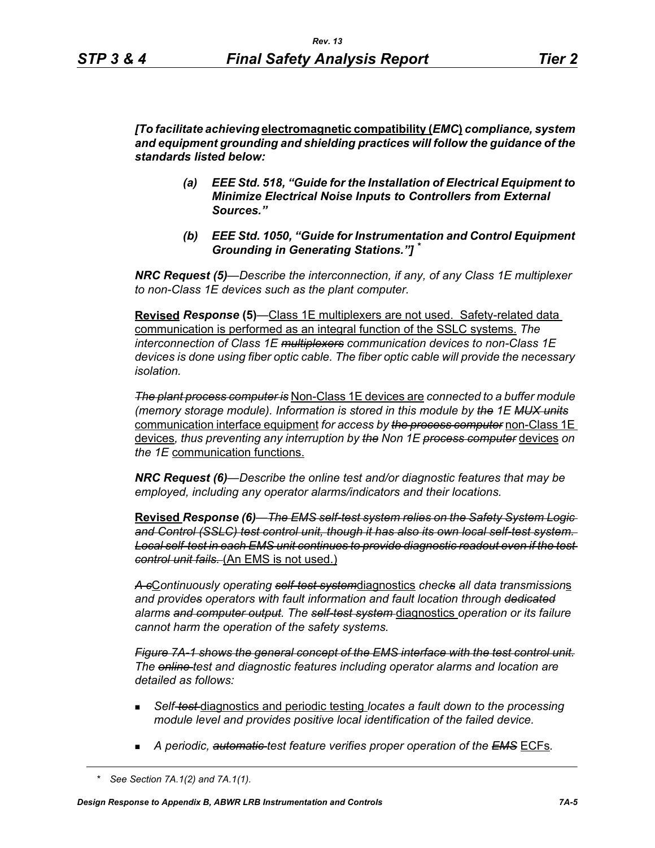*[To facilitate achieving* **electromagnetic compatibility (***EMC***)** *compliance, system and equipment grounding and shielding practices will follow the guidance of the standards listed below:*

- *(a) EEE Std. 518, "Guide for the Installation of Electrical Equipment to Minimize Electrical Noise Inputs to Controllers from External Sources."*
- *(b) EEE Std. 1050, "Guide for Instrumentation and Control Equipment Grounding in Generating Stations."] \**

*NRC Request (5)*—*Describe the interconnection, if any, of any Class 1E multiplexer to non-Class 1E devices such as the plant computer.* 

**Revised** *Response* **(5)***—*Class 1E multiplexers are not used. Safety-related data communication is performed as an integral function of the SSLC systems. *The interconnection of Class 1E multiplexers communication devices to non-Class 1E devices is done using fiber optic cable. The fiber optic cable will provide the necessary isolation.* 

*The plant process computer is* Non-Class 1E devices are *connected to a buffer module (memory storage module). Information is stored in this module by the 1E MUX units* communication interface equipment *for access by the process computer* non-Class 1E devices*, thus preventing any interruption by the Non 1E process computer* devices *on the 1E* communication functions.

*NRC Request (6)—Describe the online test and/or diagnostic features that may be employed, including any operator alarms/indicators and their locations.* 

**Revised** *Response (6)—The EMS self-test system relies on the Safety System Logic and Control (SSLC) test control unit, though it has also its own local self-test system. Local self-test in each EMS unit continues to provide diagnostic readout even if the test control unit fails.* (An EMS is not used.)

*A c*C*ontinuously operating self-test system*diagnostics *checks all data transmission*s *and provides operators with fault information and fault location through dedicated alarms and computer output. The self-test system* diagnostics *operation or its failure cannot harm the operation of the safety systems.*

*Figure 7A-1 shows the general concept of the EMS interface with the test control unit. The online test and diagnostic features including operator alarms and location are detailed as follows:*

- *Self-test* diagnostics and periodic testing *locates a fault down to the processing module level and provides positive local identification of the failed device.*
- *A periodic, automatic test feature verifies proper operation of the EMS* ECFs*.*

*<sup>\*</sup> See Section 7A.1(2) and 7A.1(1).*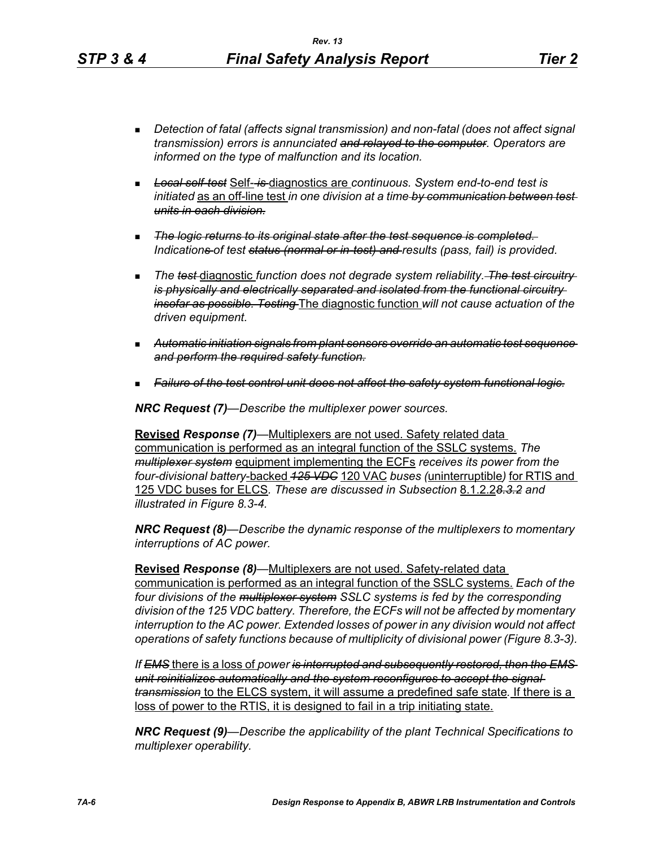- *Detection of fatal (affects signal transmission) and non-fatal (does not affect signal transmission) errors is annunciated and relayed to the computer. Operators are informed on the type of malfunction and its location.*
- *Local self-test* Self- *is* diagnostics are *continuous. System end-to-end test is initiated* as an off-line test *in one division at a time by communication between test units in each division.*
- *The logic returns to its original state after the test sequence is completed. Indications of test status (normal or in-test) and results (pass, fail) is provided.*
- **The test-diagnostic function does not degrade system reliability.** The test circuitry*is physically and electrically separated and isolated from the functional circuitry insofar as possible. Testing* The diagnostic function *will not cause actuation of the driven equipment.*
- *Automatic initiation signals from plant sensors override an automatic test sequence and perform the required safety function.*
- *Failure of the test control unit does not affect the safety system functional logic.*

*NRC Request (7)—Describe the multiplexer power sources.*

**Revised** *Response (7)—*Multiplexers are not used. Safety related data communication is performed as an integral function of the SSLC systems. *The multiplexer system* equipment implementing the ECFs *receives its power from the four-divisional battery*-backed *125 VDC* 120 VAC *buses (*uninterruptible*)* for RTIS and 125 VDC buses for ELCS*. These are discussed in Subsection* 8.1.2.2*8.3.2 and illustrated in Figure 8.3-4.*

*NRC Request (8)—Describe the dynamic response of the multiplexers to momentary interruptions of AC power.*

**Revised** *Response (8)—*Multiplexers are not used. Safety-related data communication is performed as an integral function of the SSLC systems. *Each of the four divisions of the multiplexer system SSLC systems is fed by the corresponding division of the 125 VDC battery. Therefore, the ECFs will not be affected by momentary interruption to the AC power. Extended losses of power in any division would not affect operations of safety functions because of multiplicity of divisional power (Figure 8.3-3).*

*If EMS* there is a loss of *power is interrupted and subsequently restored, then the EMS unit reinitializes automatically and the system reconfigures to accept the signal transmission* to the ELCS system, it will assume a predefined safe state*.* If there is a loss of power to the RTIS, it is designed to fail in a trip initiating state.

*NRC Request (9)—Describe the applicability of the plant Technical Specifications to multiplexer operability.*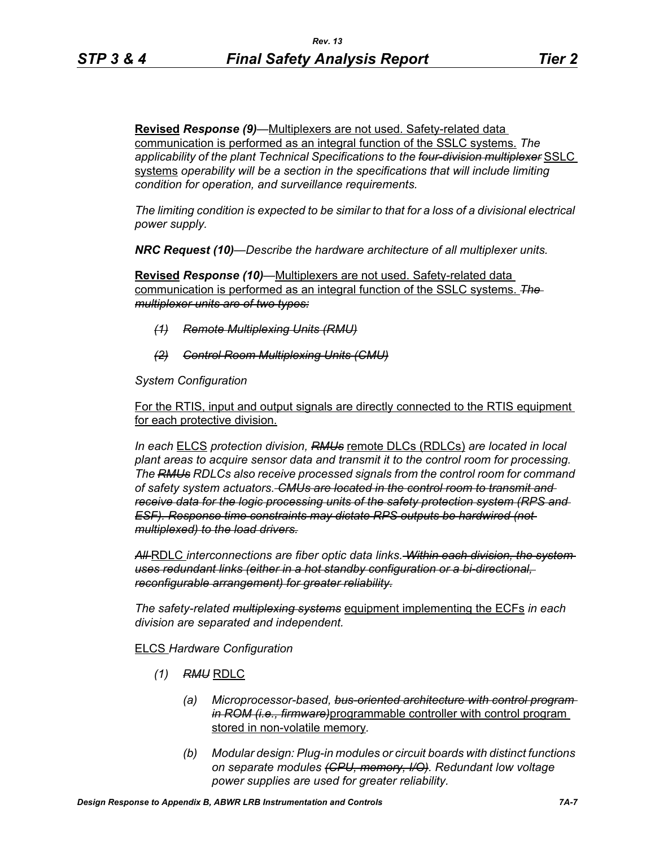**Revised** *Response (9)—*Multiplexers are not used. Safety-related data communication is performed as an integral function of the SSLC systems. *The applicability of the plant Technical Specifications to the four-division multiplexer* SSLC systems *operability will be a section in the specifications that will include limiting condition for operation, and surveillance requirements.*

*The limiting condition is expected to be similar to that for a loss of a divisional electrical power supply.*

*NRC Request (10)—Describe the hardware architecture of all multiplexer units.* 

**Revised** *Response (10)—*Multiplexers are not used. Safety-related data communication is performed as an integral function of the SSLC systems. *The multiplexer units are of two types:*

- *(1) Remote Multiplexing Units (RMU)*
- *(2) Control Room Multiplexing Units (CMU)*

*System Configuration*

For the RTIS, input and output signals are directly connected to the RTIS equipment for each protective division.

*In each* ELCS *protection division, RMUs* remote DLCs (RDLCs) *are located in local plant areas to acquire sensor data and transmit it to the control room for processing. The RMUs RDLCs also receive processed signals from the control room for command of safety system actuators. CMUs are located in the control room to transmit and receive data for the logic processing units of the safety protection system (RPS and ESF). Response time constraints may dictate RPS outputs be hardwired (not multiplexed) to the load drivers.*

*All* RDLC *interconnections are fiber optic data links. Within each division, the system uses redundant links (either in a hot standby configuration or a bi-directional, reconfigurable arrangement) for greater reliability.*

*The safety-related multiplexing systems* equipment implementing the ECFs *in each division are separated and independent.*

#### ELCS *Hardware Configuration*

- *(1) RMU* RDLC
	- *(a) Microprocessor-based, bus-oriented architecture with control program in ROM (i.e., firmware)*programmable controller with control program stored in non-volatile memory*.*
	- *(b) Modular design: Plug-in modules or circuit boards with distinct functions on separate modules (CPU, memory, I/O). Redundant low voltage power supplies are used for greater reliability.*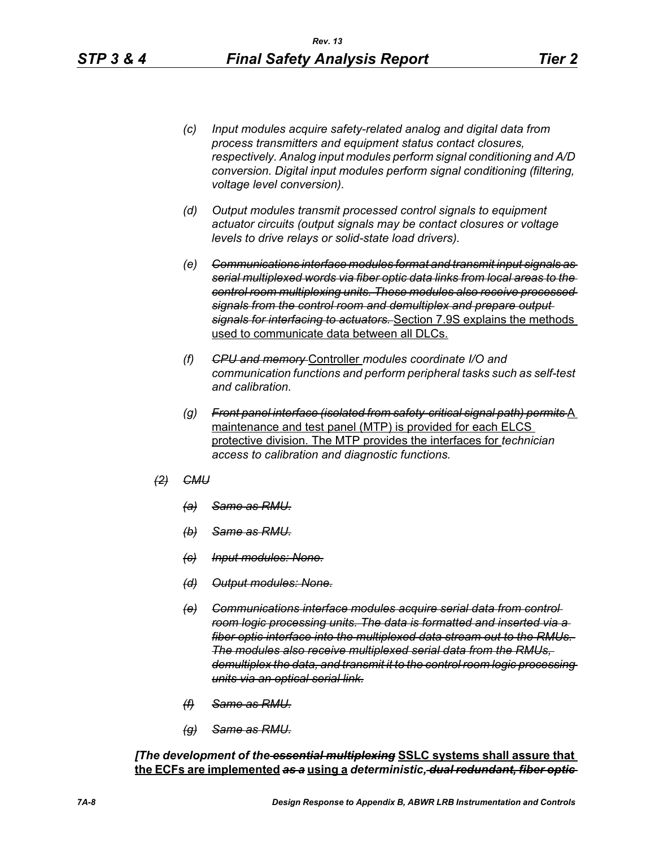- *(c) Input modules acquire safety-related analog and digital data from process transmitters and equipment status contact closures, respectively. Analog input modules perform signal conditioning and A/D conversion. Digital input modules perform signal conditioning (filtering, voltage level conversion).*
- *(d) Output modules transmit processed control signals to equipment actuator circuits (output signals may be contact closures or voltage levels to drive relays or solid-state load drivers).*
- *(e) Communications interface modules format and transmit input signals as serial multiplexed words via fiber optic data links from local areas to the control room multiplexing units. These modules also receive processed signals from the control room and demultiplex and prepare output signals for interfacing to actuators.* Section 7.9S explains the methods used to communicate data between all DLCs.
- *(f) CPU and memory* Controller *modules coordinate I/O and communication functions and perform peripheral tasks such as self-test and calibration.*
- *(g) Front panel interface (isolated from safety-critical signal path) permits* A maintenance and test panel (MTP) is provided for each ELCS protective division. The MTP provides the interfaces for *technician access to calibration and diagnostic functions.*
- *(2) CMU*
	- *(a) Same as RMU.*
	- *(b) Same as RMU.*
	- *(c) Input modules: None.*
	- *(d) Output modules: None.*
	- *(e) Communications interface modules acquire serial data from control room logic processing units. The data is formatted and inserted via a fiber optic interface into the multiplexed data stream out to the RMUs. The modules also receive multiplexed serial data from the RMUs, demultiplex the data, and transmit it to the control room logic processing units via an optical serial link.*
	- *(f) Same as RMU.*
	- *(g) Same as RMU.*

*[The development of the essential multiplexing* **SSLC systems shall assure that the ECFs are implemented** *as a* **using a** *deterministic, dual redundant, fiber optic*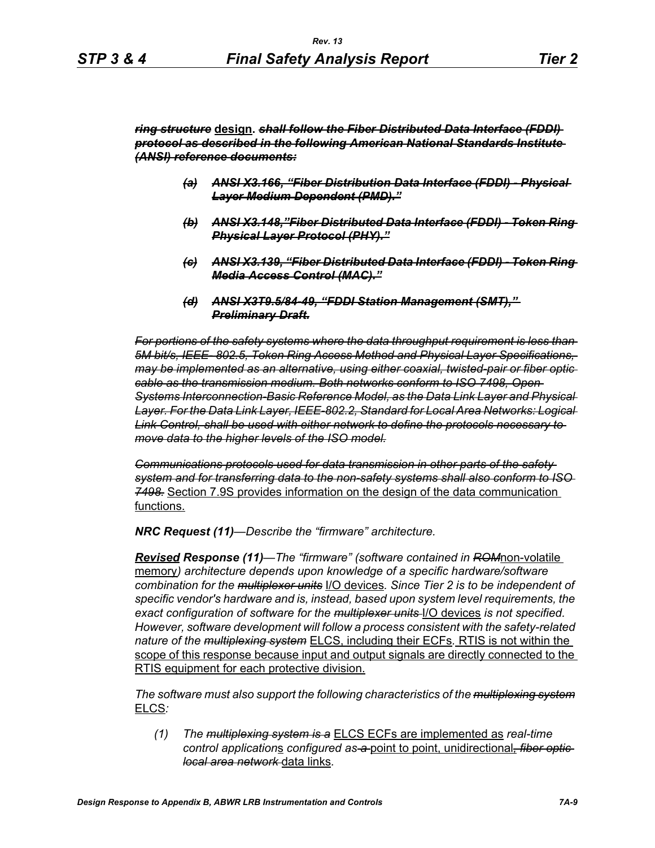*ring structure* **design.** *shall follow the Fiber Distributed Data Interface (FDDI) protocol as described in the following American National Standards Institute (ANSI) reference documents:*

- *(a) ANSI X3.166, "Fiber Distribution Data Interface (FDDI) Physical Layer Medium Dependent (PMD)."*
- *(b) ANSI X3.148,"Fiber Distributed Data Interface (FDDI) Token Ring Physical Layer Protocol (PHY)."*
- *(c) ANSI X3.139, "Fiber Distributed Data Interface (FDDI) Token Ring Media Access Control (MAC)."*
- *(d) ANSI X3T9.5/84-49, "FDDI Station Management (SMT)," Preliminary Draft.*

*For portions of the safety systems where the data throughput requirement is less than 5M bit/s, IEEE- 802.5, Token Ring Access Method and Physical Layer Specifications, may be implemented as an alternative, using either coaxial, twisted-pair or fiber optic cable as the transmission medium. Both networks conform to ISO 7498, Open Systems Interconnection-Basic Reference Model, as the Data Link Layer and Physical Layer. For the Data Link Layer, IEEE-802.2, Standard for Local Area Networks: Logical Link Control, shall be used with either network to define the protocols necessary to move data to the higher levels of the ISO model.*

*Communications protocols used for data transmission in other parts of the safety system and for transferring data to the non-safety systems shall also conform to ISO 7498.* Section 7.9S provides information on the design of the data communication functions.

*NRC Request (11)—Describe the "firmware" architecture.*

*Revised Response (11)—The "firmware" (software contained in ROM*non-volatile memory*) architecture depends upon knowledge of a specific hardware/software combination for the multiplexer units* I/O devices*. Since Tier 2 is to be independent of specific vendor's hardware and is, instead, based upon system level requirements, the exact configuration of software for the multiplexer units* I/O devices *is not specified. However, software development will follow a process consistent with the safety-related nature of the multiplexing system* ELCS, including their ECFs*.* RTIS is not within the scope of this response because input and output signals are directly connected to the RTIS equipment for each protective division.

*The software must also support the following characteristics of the multiplexing system* ELCS*:*

*(1) The multiplexing system is a* ELCS ECFs are implemented as *real-time control application*s *configured as a* point to point, unidirectional*, fiber optic local area network* data links*.*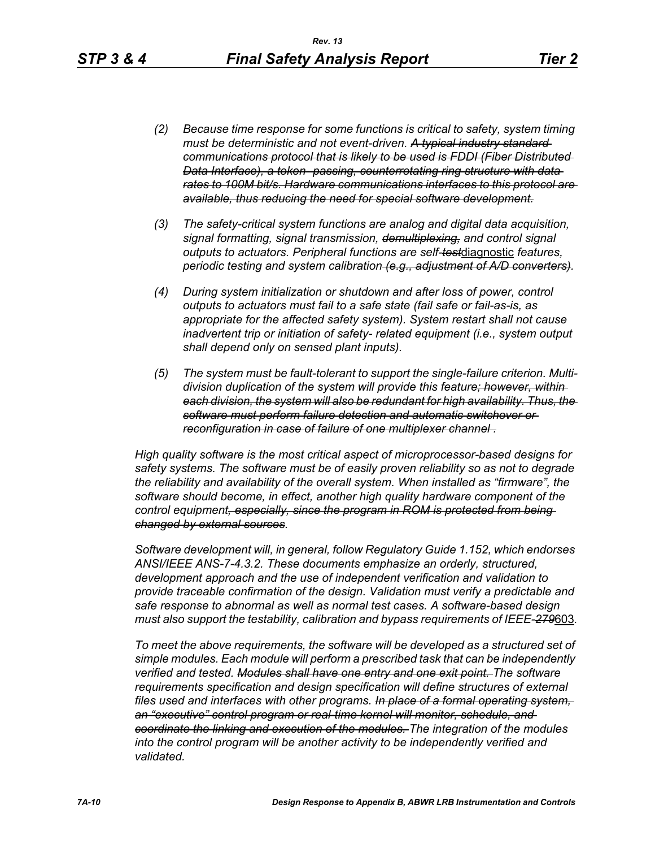- *(2) Because time response for some functions is critical to safety, system timing must be deterministic and not event-driven. A typical industry standard communications protocol that is likely to be used is FDDI (Fiber Distributed Data Interface), a token- passing, counterrotating ring structure with data rates to 100M bit/s. Hardware communications interfaces to this protocol are available, thus reducing the need for special software development.*
- *(3) The safety-critical system functions are analog and digital data acquisition, signal formatting, signal transmission, demultiplexing, and control signal outputs to actuators. Peripheral functions are self-test*diagnostic *features, periodic testing and system calibration (e.g., adjustment of A/D converters).*
- *(4) During system initialization or shutdown and after loss of power, control outputs to actuators must fail to a safe state (fail safe or fail-as-is, as appropriate for the affected safety system). System restart shall not cause inadvertent trip or initiation of safety- related equipment (i.e., system output shall depend only on sensed plant inputs).*
- *(5) The system must be fault-tolerant to support the single-failure criterion. Multidivision duplication of the system will provide this feature; however, within each division, the system will also be redundant for high availability. Thus, the software must perform failure detection and automatic switchover or reconfiguration in case of failure of one multiplexer channel .*

*High quality software is the most critical aspect of microprocessor-based designs for safety systems. The software must be of easily proven reliability so as not to degrade the reliability and availability of the overall system. When installed as "firmware", the software should become, in effect, another high quality hardware component of the control equipment, especially, since the program in ROM is protected from being changed by external sources.*

*Software development will, in general, follow Regulatory Guide 1.152, which endorses ANSI/IEEE ANS-7-4.3.2. These documents emphasize an orderly, structured, development approach and the use of independent verification and validation to provide traceable confirmation of the design. Validation must verify a predictable and safe response to abnormal as well as normal test cases. A software-based design must also support the testability, calibration and bypass requirements of IEEE-279*603*.*

*To meet the above requirements, the software will be developed as a structured set of simple modules. Each module will perform a prescribed task that can be independently verified and tested. Modules shall have one entry and one exit point. The software requirements specification and design specification will define structures of external files used and interfaces with other programs. In place of a formal operating system, an "executive" control program or real-time kernel will monitor, schedule, and coordinate the linking and execution of the modules. The integration of the modules*  into the control program will be another activity to be independently verified and *validated.*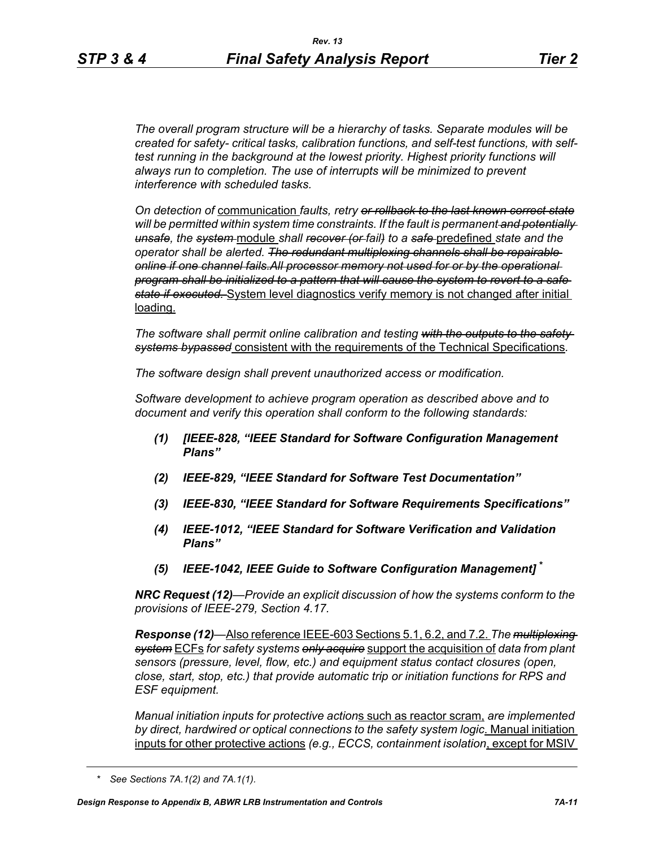*The overall program structure will be a hierarchy of tasks. Separate modules will be created for safety- critical tasks, calibration functions, and self-test functions, with selftest running in the background at the lowest priority. Highest priority functions will always run to completion. The use of interrupts will be minimized to prevent interference with scheduled tasks.* 

*On detection of* communication *faults, retry or rollback to the last known correct state will be permitted within system time constraints. If the fault is permanent and potentially unsafe, the system* module *shall recover (or fail) to a safe* predefined *state and the operator shall be alerted. The redundant multiplexing channels shall be repairable online if one channel fails.All processor memory not used for or by the operational program shall be initialized to a pattern that will cause the system to revert to a safe state if executed.* System level diagnostics verify memory is not changed after initial loading.

*The software shall permit online calibration and testing with the outputs to the safety systems bypassed* consistent with the requirements of the Technical Specifications*.* 

*The software design shall prevent unauthorized access or modification.* 

*Software development to achieve program operation as described above and to document and verify this operation shall conform to the following standards:*

- *(1) [IEEE-828, "IEEE Standard for Software Configuration Management Plans"*
- *(2) IEEE-829, "IEEE Standard for Software Test Documentation"*
- *(3) IEEE-830, "IEEE Standard for Software Requirements Specifications"*
- *(4) IEEE-1012, "IEEE Standard for Software Verification and Validation Plans"*
- *(5) IEEE-1042, IEEE Guide to Software Configuration Management]* **\***

*NRC Request (12)—Provide an explicit discussion of how the systems conform to the provisions of IEEE-279, Section 4.17.* 

*Response (12)—*Also reference IEEE-603 Sections 5.1, 6.2, and 7.2. *The multiplexing system* ECFs *for safety systems only acquire* support the acquisition of *data from plant sensors (pressure, level, flow, etc.) and equipment status contact closures (open, close, start, stop, etc.) that provide automatic trip or initiation functions for RPS and ESF equipment.* 

*Manual initiation inputs for protective action*s such as reactor scram, *are implemented by direct, hardwired or optical connections to the safety system logic*. Manual initiation inputs for other protective actions *(e.g., ECCS, containment isolation*, except for MSIV

*<sup>\*</sup> See Sections 7A.1(2) and 7A.1(1).*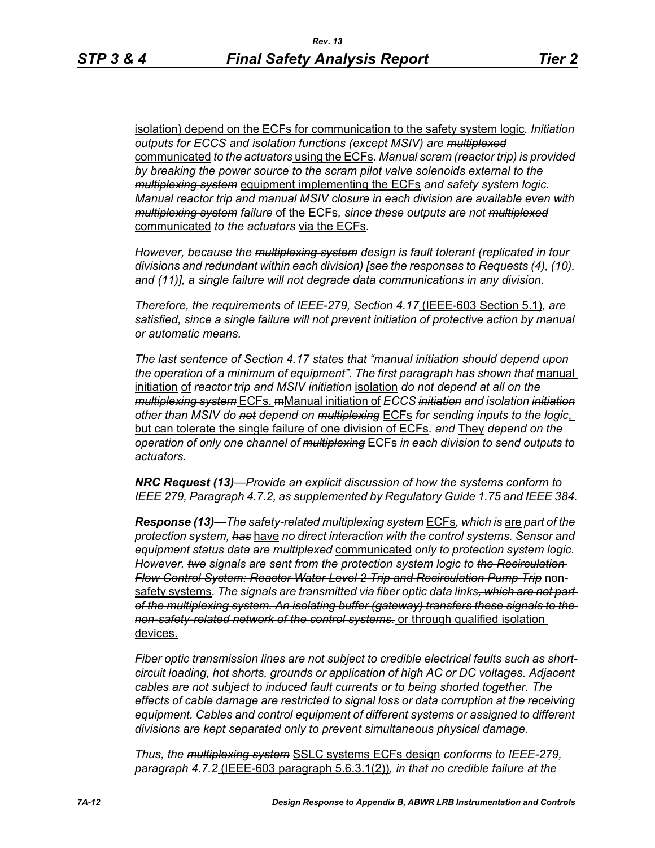isolation) depend on the ECFs for communication to the safety system logic*. Initiation outputs for ECCS and isolation functions (except MSIV) are multiplexed* communicated *to the actuators* using the ECFs*. Manual scram (reactor trip) is provided by breaking the power source to the scram pilot valve solenoids external to the multiplexing system* equipment implementing the ECFs *and safety system logic. Manual reactor trip and manual MSIV closure in each division are available even with multiplexing system failure* of the ECFs*, since these outputs are not multiplexed* communicated *to the actuators* via the ECFs*.* 

*However, because the multiplexing system design is fault tolerant (replicated in four divisions and redundant within each division) [see the responses to Requests (4), (10), and (11)], a single failure will not degrade data communications in any division.* 

*Therefore, the requirements of IEEE-279, Section 4.17* (IEEE-603 Section 5.1)*, are satisfied, since a single failure will not prevent initiation of protective action by manual or automatic means.* 

*The last sentence of Section 4.17 states that "manual initiation should depend upon*  the operation of a minimum of equipment". The first paragraph has shown that manual initiation of *reactor trip and MSIV initiation* isolation *do not depend at all on the multiplexing system* ECFs. mManual initiation of *ECCS initiation and isolation initiation other than MSIV do not depend on multiplexing* ECFs *for sending inputs to the logic*, but can tolerate the single failure of one division of ECFs*. and* They *depend on the operation of only one channel of multiplexing* ECFs *in each division to send outputs to actuators.* 

*NRC Request (13)—Provide an explicit discussion of how the systems conform to IEEE 279, Paragraph 4.7.2, as supplemented by Regulatory Guide 1.75 and IEEE 384.*

*Response (13)—The safety-related multiplexing system* ECFs*, which is* are *part of the protection system, has* have *no direct interaction with the control systems. Sensor and equipment status data are multiplexed* communicated *only to protection system logic. However, two signals are sent from the protection system logic to the Recirculation Flow Control System: Reactor Water Level 2 Trip and Recirculation Pump Trip* nonsafety systems*. The signals are transmitted via fiber optic data links, which are not part of the multiplexing system. An isolating buffer (gateway) transfers these signals to the non-safety-related network of the control systems.* or through qualified isolation devices.

*Fiber optic transmission lines are not subject to credible electrical faults such as shortcircuit loading, hot shorts, grounds or application of high AC or DC voltages. Adjacent cables are not subject to induced fault currents or to being shorted together. The effects of cable damage are restricted to signal loss or data corruption at the receiving equipment. Cables and control equipment of different systems or assigned to different divisions are kept separated only to prevent simultaneous physical damage.* 

*Thus, the multiplexing system* SSLC systems ECFs design *conforms to IEEE-279, paragraph 4.7.2* (IEEE-603 paragraph 5.6.3.1(2))*, in that no credible failure at the*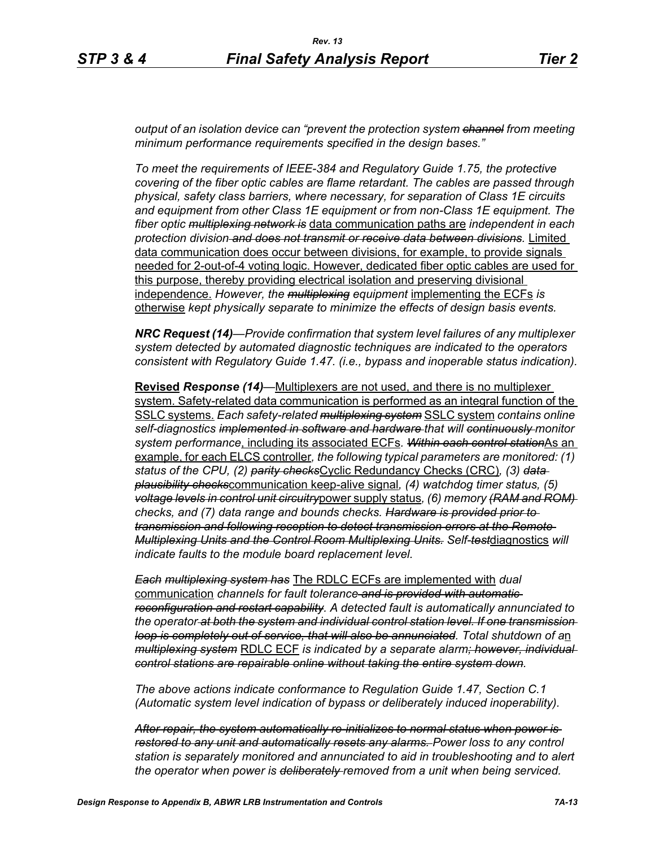*output of an isolation device can "prevent the protection system channel from meeting minimum performance requirements specified in the design bases."*

*To meet the requirements of IEEE-384 and Regulatory Guide 1.75, the protective covering of the fiber optic cables are flame retardant. The cables are passed through physical, safety class barriers, where necessary, for separation of Class 1E circuits and equipment from other Class 1E equipment or from non-Class 1E equipment. The fiber optic multiplexing network is* data communication paths are *independent in each protection division and does not transmit or receive data between divisions.* Limited data communication does occur between divisions, for example, to provide signals needed for 2-out-of-4 voting logic. However, dedicated fiber optic cables are used for this purpose, thereby providing electrical isolation and preserving divisional independence. *However, the multiplexing equipment* implementing the ECFs *is*  otherwise *kept physically separate to minimize the effects of design basis events.* 

*NRC Request (14)—Provide confirmation that system level failures of any multiplexer system detected by automated diagnostic techniques are indicated to the operators consistent with Regulatory Guide 1.47. (i.e., bypass and inoperable status indication).*

**Revised** *Response (14)—*Multiplexers are not used, and there is no multiplexer system. Safety-related data communication is performed as an integral function of the SSLC systems. *Each safety-related multiplexing system* SSLC system *contains online self-diagnostics implemented in software and hardware that will continuously monitor system performance*, including its associated ECFs*. Within each control station*As an example, for each ELCS controller*, the following typical parameters are monitored: (1) status of the CPU, (2) parity checks*Cyclic Redundancy Checks (CRC)*, (3) data plausibility checks*communication keep-alive signal*, (4) watchdog timer status, (5) voltage levels in control unit circuitry*power supply status*, (6) memory (RAM and ROM) checks, and (7) data range and bounds checks. Hardware is provided prior to transmission and following reception to detect transmission errors at the Remote Multiplexing Units and the Control Room Multiplexing Units. Self-test*diagnostics *will indicate faults to the module board replacement level.* 

*Each multiplexing system has* The RDLC ECFs are implemented with *dual*  communication *channels for fault tolerance and is provided with automatic reconfiguration and restart capability. A detected fault is automatically annunciated to the operator at both the system and individual control station level. If one transmission loop is completely out of service, that will also be annunciated. Total shutdown of a*n *multiplexing system* RDLC ECF *is indicated by a separate alarm; however, individual control stations are repairable online without taking the entire system down.* 

*The above actions indicate conformance to Regulation Guide 1.47, Section C.1 (Automatic system level indication of bypass or deliberately induced inoperability).* 

*After repair, the system automatically re-initializes to normal status when power is restored to any unit and automatically resets any alarms. Power loss to any control station is separately monitored and annunciated to aid in troubleshooting and to alert the operator when power is deliberately removed from a unit when being serviced.*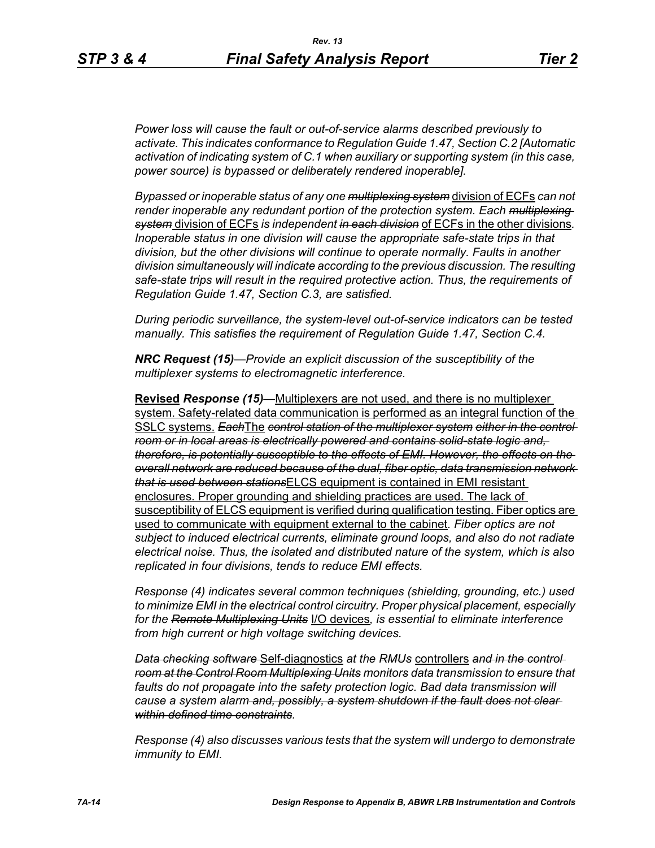*Power loss will cause the fault or out-of-service alarms described previously to activate. This indicates conformance to Regulation Guide 1.47, Section C.2 [Automatic activation of indicating system of C.1 when auxiliary or supporting system (in this case, power source) is bypassed or deliberately rendered inoperable].* 

*Bypassed or inoperable status of any one multiplexing system* division of ECFs *can not render inoperable any redundant portion of the protection system. Each multiplexing system* division of ECFs *is independent in each division* of ECFs in the other divisions*. Inoperable status in one division will cause the appropriate safe-state trips in that division, but the other divisions will continue to operate normally. Faults in another division simultaneously will indicate according to the previous discussion. The resulting safe-state trips will result in the required protective action. Thus, the requirements of Regulation Guide 1.47, Section C.3, are satisfied.* 

*During periodic surveillance, the system-level out-of-service indicators can be tested manually. This satisfies the requirement of Regulation Guide 1.47, Section C.4.* 

*NRC Request (15)—Provide an explicit discussion of the susceptibility of the multiplexer systems to electromagnetic interference.*

**Revised** *Response (15)—*Multiplexers are not used, and there is no multiplexer system. Safety-related data communication is performed as an integral function of the SSLC systems. *Each*The *control station of the multiplexer system either in the control room or in local areas is electrically powered and contains solid-state logic and, therefore, is potentially susceptible to the effects of EMI. However, the effects on the overall network are reduced because of the dual, fiber optic, data transmission network that is used between stations*ELCS equipment is contained in EMI resistant enclosures. Proper grounding and shielding practices are used. The lack of susceptibility of ELCS equipment is verified during qualification testing. Fiber optics are used to communicate with equipment external to the cabinet*. Fiber optics are not subject to induced electrical currents, eliminate ground loops, and also do not radiate electrical noise. Thus, the isolated and distributed nature of the system, which is also replicated in four divisions, tends to reduce EMI effects.* 

*Response (4) indicates several common techniques (shielding, grounding, etc.) used to minimize EMI in the electrical control circuitry. Proper physical placement, especially for the Remote Multiplexing Units* I/O devices*, is essential to eliminate interference from high current or high voltage switching devices.* 

*Data checking software* Self-diagnostics *at the RMUs* controllers *and in the control room at the Control Room Multiplexing Units monitors data transmission to ensure that faults do not propagate into the safety protection logic. Bad data transmission will cause a system alarm and, possibly, a system shutdown if the fault does not clear within defined time constraints.*

*Response (4) also discusses various tests that the system will undergo to demonstrate immunity to EMI.*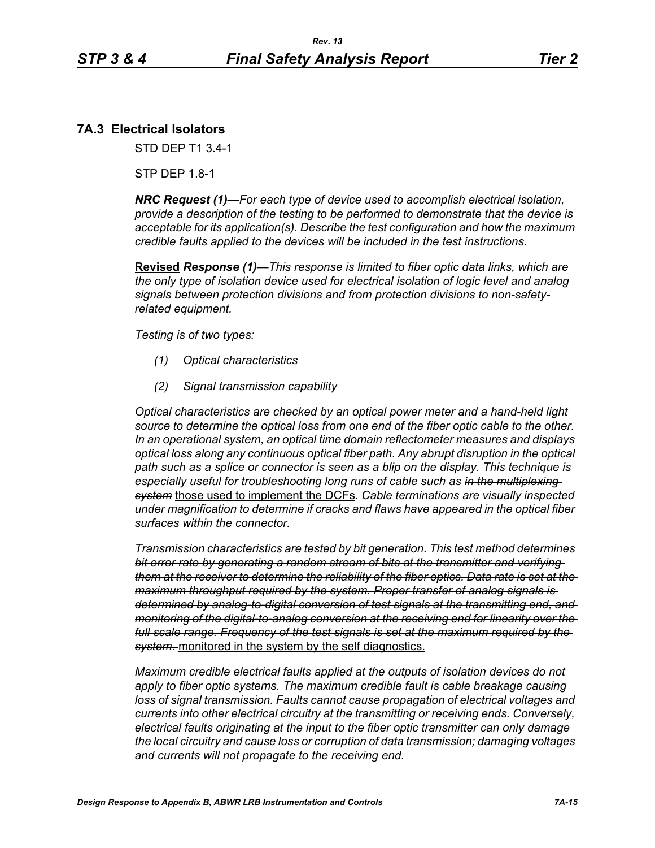## **7A.3 Electrical Isolators**

STD DEP T1 3.4-1

STP DEP 1.8-1

*NRC Request (1)—For each type of device used to accomplish electrical isolation, provide a description of the testing to be performed to demonstrate that the device is acceptable for its application(s). Describe the test configuration and how the maximum credible faults applied to the devices will be included in the test instructions.*

**Revised** *Response (1)—This response is limited to fiber optic data links, which are the only type of isolation device used for electrical isolation of logic level and analog signals between protection divisions and from protection divisions to non-safetyrelated equipment.* 

*Testing is of two types:*

- *(1) Optical characteristics*
- *(2) Signal transmission capability*

*Optical characteristics are checked by an optical power meter and a hand-held light source to determine the optical loss from one end of the fiber optic cable to the other. In an operational system, an optical time domain reflectometer measures and displays optical loss along any continuous optical fiber path. Any abrupt disruption in the optical path such as a splice or connector is seen as a blip on the display. This technique is especially useful for troubleshooting long runs of cable such as in the multiplexing system* those used to implement the DCFs*. Cable terminations are visually inspected under magnification to determine if cracks and flaws have appeared in the optical fiber surfaces within the connector.* 

*Transmission characteristics are tested by bit generation. This test method determines bit error rate by generating a random stream of bits at the transmitter and verifying them at the receiver to determine the reliability of the fiber optics. Data rate is set at the maximum throughput required by the system. Proper transfer of analog signals is determined by analog-to-digital conversion of test signals at the transmitting end, and monitoring of the digital-to-analog conversion at the receiving end for linearity over the full scale range. Frequency of the test signals is set at the maximum required by the system.* monitored in the system by the self diagnostics.

*Maximum credible electrical faults applied at the outputs of isolation devices do not apply to fiber optic systems. The maximum credible fault is cable breakage causing loss of signal transmission. Faults cannot cause propagation of electrical voltages and currents into other electrical circuitry at the transmitting or receiving ends. Conversely, electrical faults originating at the input to the fiber optic transmitter can only damage the local circuitry and cause loss or corruption of data transmission; damaging voltages and currents will not propagate to the receiving end.*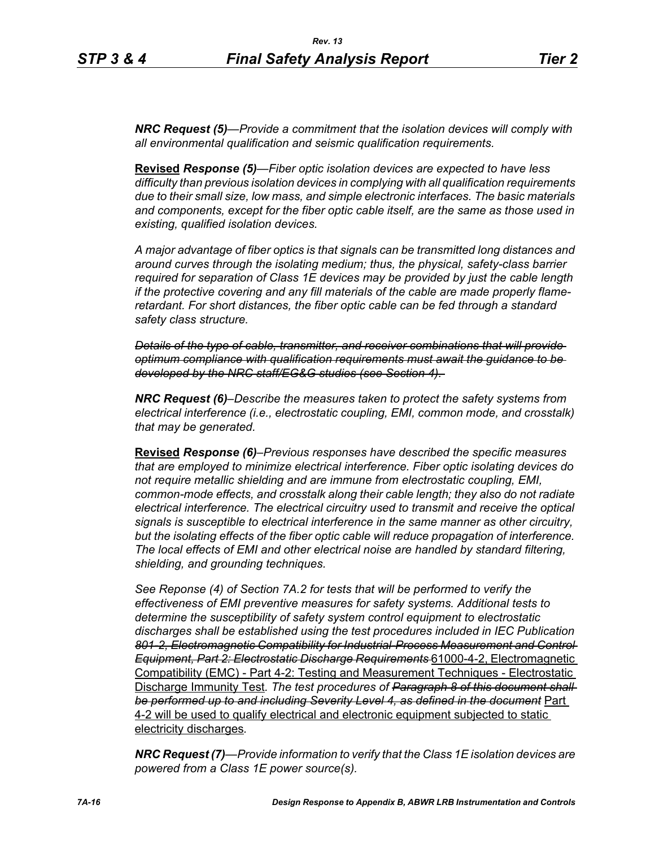*NRC Request (5)—Provide a commitment that the isolation devices will comply with all environmental qualification and seismic qualification requirements.*

**Revised** *Response (5)—Fiber optic isolation devices are expected to have less difficulty than previous isolation devices in complying with all qualification requirements due to their small size, low mass, and simple electronic interfaces. The basic materials and components, except for the fiber optic cable itself, are the same as those used in existing, qualified isolation devices.* 

*A major advantage of fiber optics is that signals can be transmitted long distances and around curves through the isolating medium; thus, the physical, safety-class barrier required for separation of Class 1E devices may be provided by just the cable length if the protective covering and any fill materials of the cable are made properly flameretardant. For short distances, the fiber optic cable can be fed through a standard safety class structure.* 

*Details of the type of cable, transmitter, and receiver combinations that will provide optimum compliance with qualification requirements must await the guidance to be developed by the NRC staff/EG&G studies (see Section 4).* 

*NRC Request (6)–Describe the measures taken to protect the safety systems from electrical interference (i.e., electrostatic coupling, EMI, common mode, and crosstalk) that may be generated.*

**Revised** *Response (6)–Previous responses have described the specific measures that are employed to minimize electrical interference. Fiber optic isolating devices do not require metallic shielding and are immune from electrostatic coupling, EMI, common-mode effects, and crosstalk along their cable length; they also do not radiate electrical interference. The electrical circuitry used to transmit and receive the optical signals is susceptible to electrical interference in the same manner as other circuitry, but the isolating effects of the fiber optic cable will reduce propagation of interference. The local effects of EMI and other electrical noise are handled by standard filtering, shielding, and grounding techniques.*

*See Reponse (4) of Section 7A.2 for tests that will be performed to verify the effectiveness of EMI preventive measures for safety systems. Additional tests to determine the susceptibility of safety system control equipment to electrostatic discharges shall be established using the test procedures included in IEC Publication 801-2, Electromagnetic Compatibility for Industrial-Process Measurement and Control Equipment, Part 2: Electrostatic Discharge Requirements* 61000-4-2, Electromagnetic Compatibility (EMC) - Part 4-2: Testing and Measurement Techniques - Electrostatic Discharge Immunity Test*. The test procedures of Paragraph 8 of this document shall be performed up to and including Severity Level 4, as defined in the document* Part 4-2 will be used to qualify electrical and electronic equipment subjected to static electricity discharges*.*

*NRC Request (7)—Provide information to verify that the Class 1E isolation devices are powered from a Class 1E power source(s).*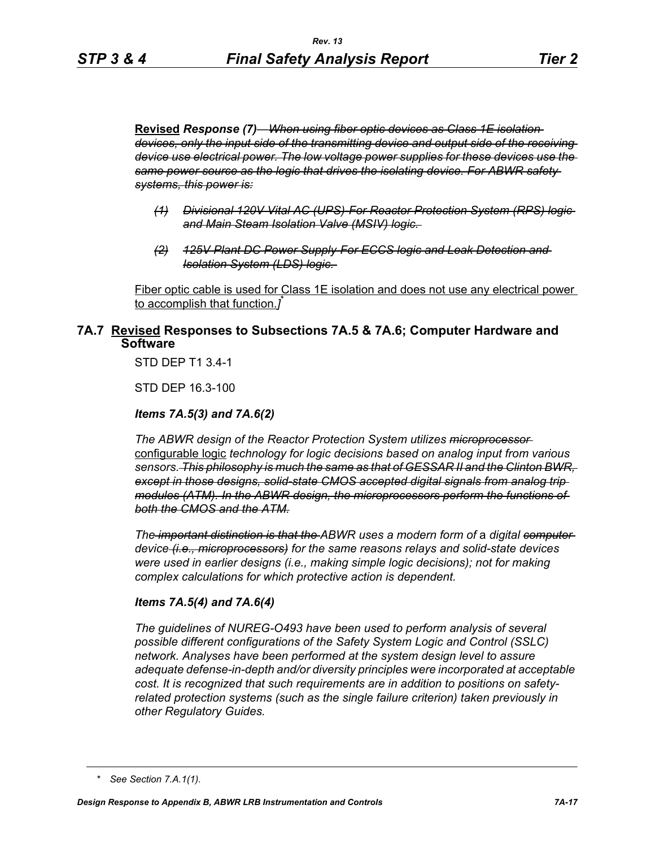**Revised** *Response (7)—When using fiber optic devices as Class 1E isolation devices, only the input side of the transmitting device and output side of the receiving device use electrical power. The low voltage power supplies for these devices use the same power source as the logic that drives the isolating device. For ABWR safety systems, this power is:*

- *(1) Divisional 120V Vital AC (UPS)-For Reactor Protection System (RPS) logic and Main Steam Isolation Valve (MSIV) logic.*
- *(2) 125V Plant DC Power Supply-For ECCS logic and Leak Detection and Isolation System (LDS) logic.*

Fiber optic cable is used for Class 1E isolation and does not use any electrical power to accomplish that function.*]* \*

## **7A.7 Revised Responses to Subsections 7A.5 & 7A.6; Computer Hardware and Software**

STD DEP T1 3.4-1

STD DEP 16.3-100

#### *Items 7A.5(3) and 7A.6(2)*

*The ABWR design of the Reactor Protection System utilizes microprocessor*  configurable logic *technology for logic decisions based on analog input from various sensors. This philosophy is much the same as that of GESSAR II and the Clinton BWR, except in those designs, solid-state CMOS accepted digital signals from analog trip modules (ATM). In the ABWR design, the microprocessors perform the functions of both the CMOS and the ATM.*

*The important distinction is that the ABWR uses a modern form of a digital computer device (i.e., microprocessors) for the same reasons relays and solid-state devices were used in earlier designs (i.e., making simple logic decisions); not for making complex calculations for which protective action is dependent.*

#### *Items 7A.5(4) and 7A.6(4)*

*The guidelines of NUREG-O493 have been used to perform analysis of several possible different configurations of the Safety System Logic and Control (SSLC) network. Analyses have been performed at the system design level to assure adequate defense-in-depth and/or diversity principles were incorporated at acceptable cost. It is recognized that such requirements are in addition to positions on safetyrelated protection systems (such as the single failure criterion) taken previously in other Regulatory Guides.*

*<sup>\*</sup> See Section 7.A.1(1).*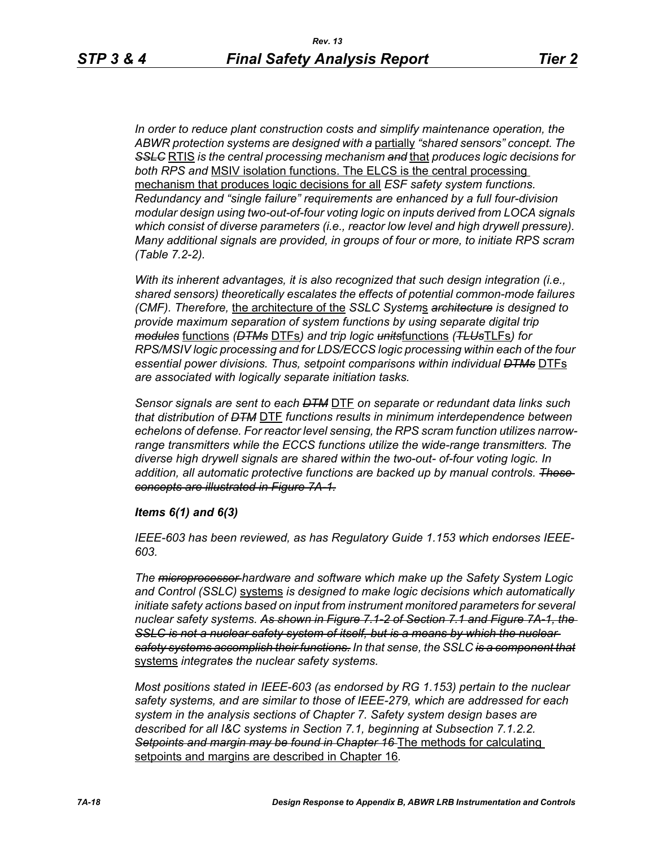*In order to reduce plant construction costs and simplify maintenance operation, the ABWR protection systems are designed with a* partially *"shared sensors" concept. The SSLC* RTIS *is the central processing mechanism and* that *produces logic decisions for both RPS and* MSIV isolation functions. The ELCS is the central processing mechanism that produces logic decisions for all *ESF safety system functions. Redundancy and "single failure" requirements are enhanced by a full four-division modular design using two-out-of-four voting logic on inputs derived from LOCA signals which consist of diverse parameters (i.e., reactor low level and high drywell pressure). Many additional signals are provided, in groups of four or more, to initiate RPS scram (Table 7.2-2).*

*With its inherent advantages, it is also recognized that such design integration (i.e., shared sensors) theoretically escalates the effects of potential common-mode failures (CMF). Therefore,* the architecture of the *SSLC System*s *architecture is designed to provide maximum separation of system functions by using separate digital trip modules* functions *(DTMs* DTFs*) and trip logic units*functions *(TLUs*TLFs*) for RPS/MSIV logic processing and for LDS/ECCS logic processing within each of the four essential power divisions. Thus, setpoint comparisons within individual DTMs* DTFs *are associated with logically separate initiation tasks.* 

*Sensor signals are sent to each DTM* DTF *on separate or redundant data links such that distribution of DTM* DTF *functions results in minimum interdependence between echelons of defense. For reactor level sensing, the RPS scram function utilizes narrowrange transmitters while the ECCS functions utilize the wide-range transmitters. The diverse high drywell signals are shared within the two-out- of-four voting logic. In addition, all automatic protective functions are backed up by manual controls. These concepts are illustrated in Figure 7A-1.*

#### *Items 6(1) and 6(3)*

*IEEE-603 has been reviewed, as has Regulatory Guide 1.153 which endorses IEEE-603.*

*The microprocessor hardware and software which make up the Safety System Logic and Control (SSLC)* systems *is designed to make logic decisions which automatically initiate safety actions based on input from instrument monitored parameters for several nuclear safety systems. As shown in Figure 7.1-2 of Section 7.1 and Figure 7A-1, the SSLC is not a nuclear safety system of itself, but is a means by which the nuclear safety systems accomplish their functions. In that sense, the SSLC is a component that* systems *integrates the nuclear safety systems.*

*Most positions stated in IEEE-603 (as endorsed by RG 1.153) pertain to the nuclear safety systems, and are similar to those of IEEE-279, which are addressed for each system in the analysis sections of Chapter 7. Safety system design bases are described for all I&C systems in Section 7.1, beginning at Subsection 7.1.2.2. Setpoints and margin may be found in Chapter 16* The methods for calculating setpoints and margins are described in Chapter 16*.*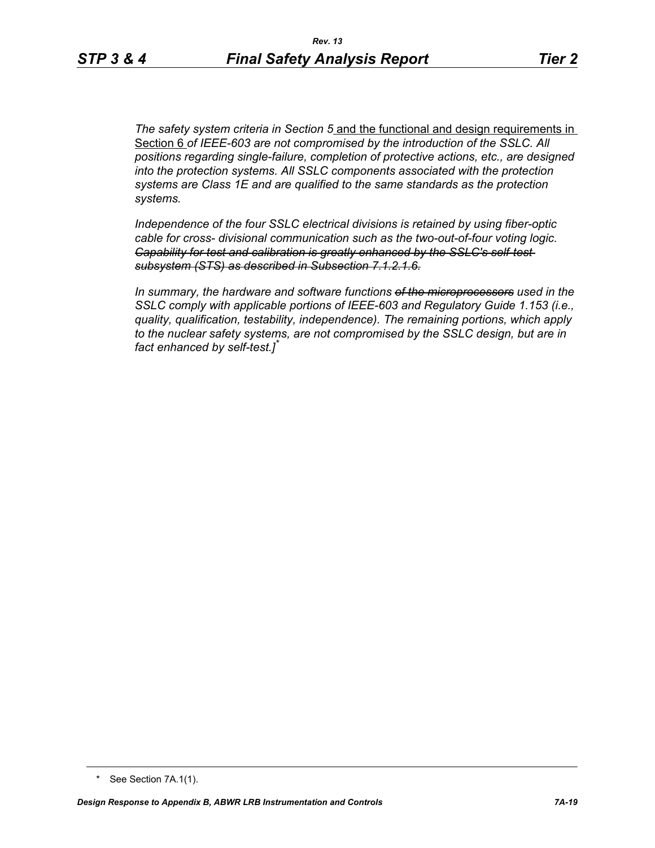*The safety system criteria in Section 5* and the functional and design requirements in Section 6 *of IEEE-603 are not compromised by the introduction of the SSLC. All positions regarding single-failure, completion of protective actions, etc., are designed into the protection systems. All SSLC components associated with the protection systems are Class 1E and are qualified to the same standards as the protection systems.*

*Independence of the four SSLC electrical divisions is retained by using fiber-optic cable for cross- divisional communication such as the two-out-of-four voting logic. Capability for test and calibration is greatly enhanced by the SSLC's self-test subsystem (STS) as described in Subsection 7.1.2.1.6.*

*In summary, the hardware and software functions of the microprocessors used in the SSLC comply with applicable portions of IEEE-603 and Regulatory Guide 1.153 (i.e., quality, qualification, testability, independence). The remaining portions, which apply to the nuclear safety systems, are not compromised by the SSLC design, but are in fact enhanced by self-test.]\**

<sup>\*</sup> See Section 7A.1(1).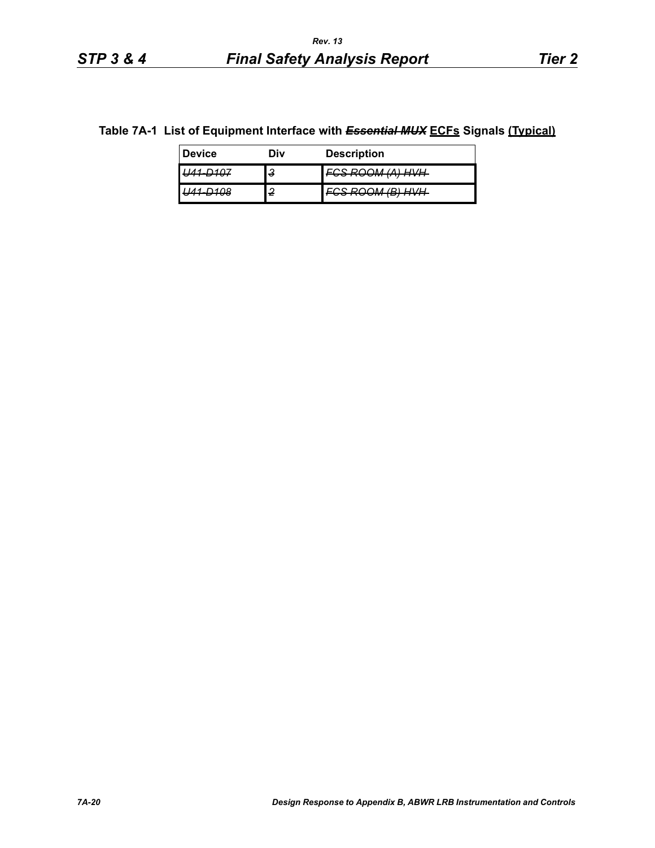# **Table 7A-1 List of Equipment Interface with** *Essential MUX* **ECFs Signals (Typical)**

| <b>Device</b> | Div | <b>Description</b>                                                      |
|---------------|-----|-------------------------------------------------------------------------|
|               | 3   | ) <i>( ( ( )</i> ) <i>( ) ( ) ( )</i> )<br><del>,,,,,,,,,,,,,,,,,</del> |
|               | 2   | R) H)/H<br><del>oom worm</del>                                          |